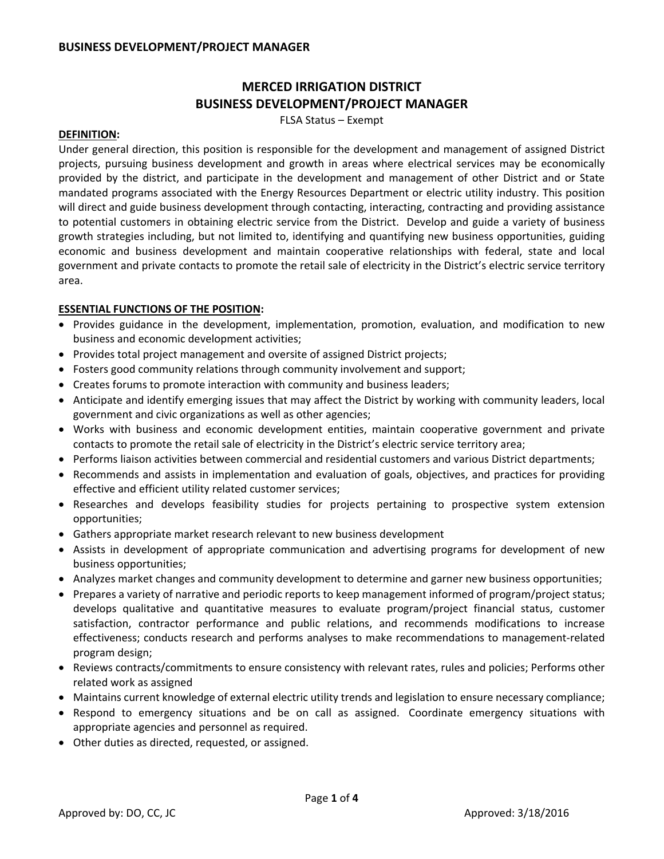# **MERCED IRRIGATION DISTRICT BUSINESS DEVELOPMENT/PROJECT MANAGER**

FLSA Status – Exempt

#### **DEFINITION:**

Under general direction, this position is responsible for the development and management of assigned District projects, pursuing business development and growth in areas where electrical services may be economically provided by the district, and participate in the development and management of other District and or State mandated programs associated with the Energy Resources Department or electric utility industry. This position will direct and guide business development through contacting, interacting, contracting and providing assistance to potential customers in obtaining electric service from the District. Develop and guide a variety of business growth strategies including, but not limited to, identifying and quantifying new business opportunities, guiding economic and business development and maintain cooperative relationships with federal, state and local government and private contacts to promote the retail sale of electricity in the District's electric service territory area.

## **ESSENTIAL FUNCTIONS OF THE POSITION:**

- Provides guidance in the development, implementation, promotion, evaluation, and modification to new business and economic development activities;
- Provides total project management and oversite of assigned District projects;
- Fosters good community relations through community involvement and support;
- Creates forums to promote interaction with community and business leaders;
- Anticipate and identify emerging issues that may affect the District by working with community leaders, local government and civic organizations as well as other agencies;
- Works with business and economic development entities, maintain cooperative government and private contacts to promote the retail sale of electricity in the District's electric service territory area;
- Performs liaison activities between commercial and residential customers and various District departments;
- Recommends and assists in implementation and evaluation of goals, objectives, and practices for providing effective and efficient utility related customer services;
- Researches and develops feasibility studies for projects pertaining to prospective system extension opportunities;
- Gathers appropriate market research relevant to new business development
- Assists in development of appropriate communication and advertising programs for development of new business opportunities;
- Analyzes market changes and community development to determine and garner new business opportunities;
- Prepares a variety of narrative and periodic reports to keep management informed of program/project status; develops qualitative and quantitative measures to evaluate program/project financial status, customer satisfaction, contractor performance and public relations, and recommends modifications to increase effectiveness; conducts research and performs analyses to make recommendations to management‐related program design;
- Reviews contracts/commitments to ensure consistency with relevant rates, rules and policies; Performs other related work as assigned
- Maintains current knowledge of external electric utility trends and legislation to ensure necessary compliance;
- Respond to emergency situations and be on call as assigned. Coordinate emergency situations with appropriate agencies and personnel as required.
- Other duties as directed, requested, or assigned.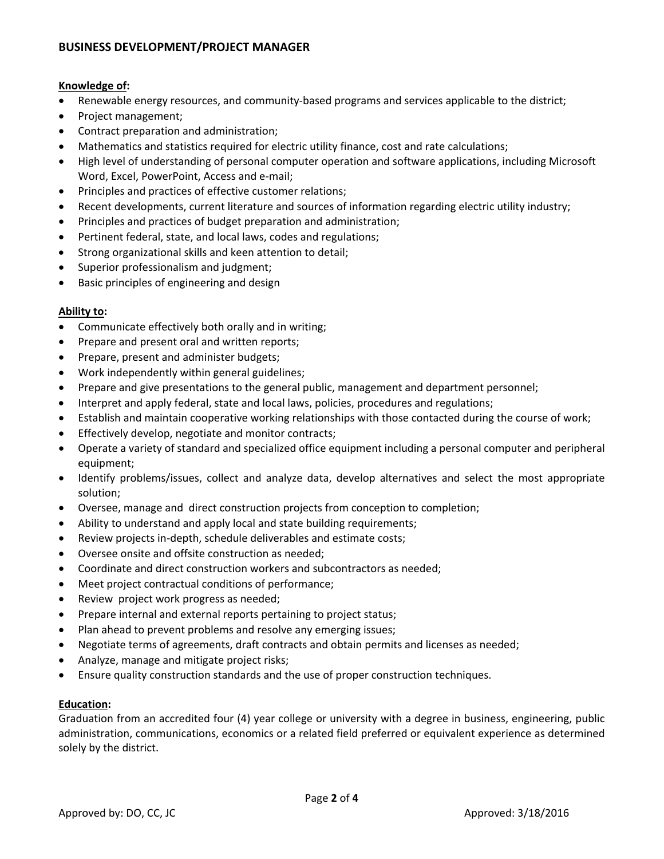# **BUSINESS DEVELOPMENT/PROJECT MANAGER**

#### **Knowledge of:**

- Renewable energy resources, and community-based programs and services applicable to the district;
- Project management;
- Contract preparation and administration;
- Mathematics and statistics required for electric utility finance, cost and rate calculations;
- High level of understanding of personal computer operation and software applications, including Microsoft Word, Excel, PowerPoint, Access and e‐mail;
- Principles and practices of effective customer relations;
- Recent developments, current literature and sources of information regarding electric utility industry;
- Principles and practices of budget preparation and administration;
- Pertinent federal, state, and local laws, codes and regulations;
- Strong organizational skills and keen attention to detail;
- Superior professionalism and judgment;
- Basic principles of engineering and design

## **Ability to:**

- Communicate effectively both orally and in writing;
- Prepare and present oral and written reports;
- Prepare, present and administer budgets;
- Work independently within general guidelines;
- Prepare and give presentations to the general public, management and department personnel;
- Interpret and apply federal, state and local laws, policies, procedures and regulations;
- Establish and maintain cooperative working relationships with those contacted during the course of work;
- Effectively develop, negotiate and monitor contracts;
- Operate a variety of standard and specialized office equipment including a personal computer and peripheral equipment;
- Identify problems/issues, collect and analyze data, develop alternatives and select the most appropriate solution;
- Oversee, manage and direct construction projects from conception to completion;
- Ability to understand and apply local and state building requirements;
- Review projects in‐depth, schedule deliverables and estimate costs;
- Oversee onsite and offsite construction as needed;
- Coordinate and direct construction workers and subcontractors as needed;
- Meet project contractual conditions of performance;
- Review project work progress as needed;
- Prepare internal and external reports pertaining to project status;
- Plan ahead to prevent problems and resolve any emerging issues;
- Negotiate terms of agreements, draft contracts and obtain permits and licenses as needed;
- Analyze, manage and mitigate project risks;
- Ensure quality construction standards and the use of proper construction techniques.

## **Education:**

Graduation from an accredited four (4) year college or university with a degree in business, engineering, public administration, communications, economics or a related field preferred or equivalent experience as determined solely by the district.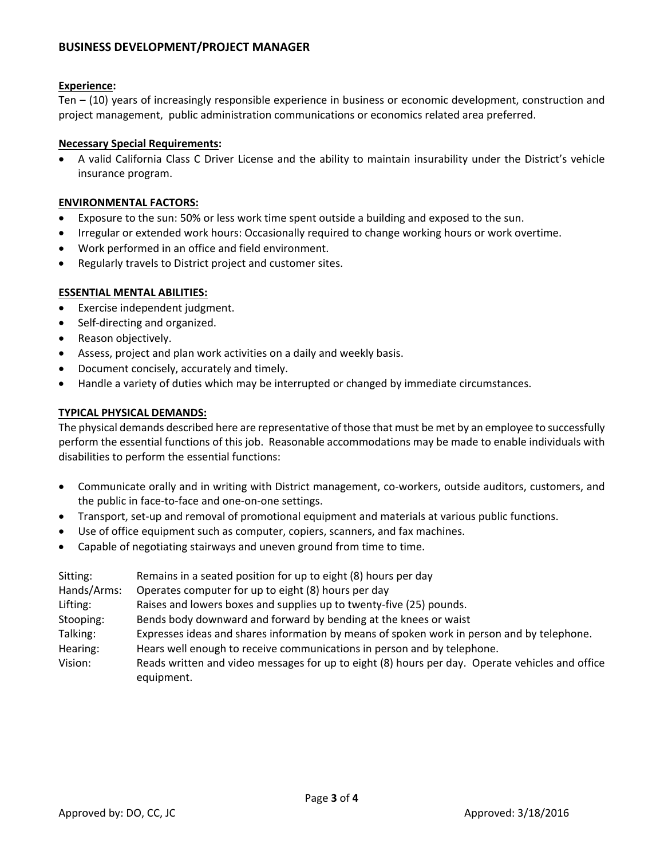# **BUSINESS DEVELOPMENT/PROJECT MANAGER**

#### **Experience:**

Ten – (10) years of increasingly responsible experience in business or economic development, construction and project management, public administration communications or economics related area preferred.

#### **Necessary Special Requirements:**

• A valid California Class C Driver License and the ability to maintain insurability under the District's vehicle insurance program.

#### **ENVIRONMENTAL FACTORS:**

- Exposure to the sun: 50% or less work time spent outside a building and exposed to the sun.
- Irregular or extended work hours: Occasionally required to change working hours or work overtime.
- Work performed in an office and field environment.
- Regularly travels to District project and customer sites.

#### **ESSENTIAL MENTAL ABILITIES:**

- Exercise independent judgment.
- Self-directing and organized.
- Reason objectively.
- Assess, project and plan work activities on a daily and weekly basis.
- Document concisely, accurately and timely.
- Handle a variety of duties which may be interrupted or changed by immediate circumstances.

#### **TYPICAL PHYSICAL DEMANDS:**

The physical demands described here are representative of those that must be met by an employee to successfully perform the essential functions of this job. Reasonable accommodations may be made to enable individuals with disabilities to perform the essential functions:

- Communicate orally and in writing with District management, co-workers, outside auditors, customers, and the public in face‐to‐face and one‐on‐one settings.
- Transport, set‐up and removal of promotional equipment and materials at various public functions.
- Use of office equipment such as computer, copiers, scanners, and fax machines.
- Capable of negotiating stairways and uneven ground from time to time.

| Remains in a seated position for up to eight (8) hours per day                                                |
|---------------------------------------------------------------------------------------------------------------|
| Operates computer for up to eight (8) hours per day                                                           |
| Raises and lowers boxes and supplies up to twenty-five (25) pounds.                                           |
| Bends body downward and forward by bending at the knees or waist                                              |
| Expresses ideas and shares information by means of spoken work in person and by telephone.                    |
| Hears well enough to receive communications in person and by telephone.                                       |
| Reads written and video messages for up to eight (8) hours per day. Operate vehicles and office<br>equipment. |
|                                                                                                               |